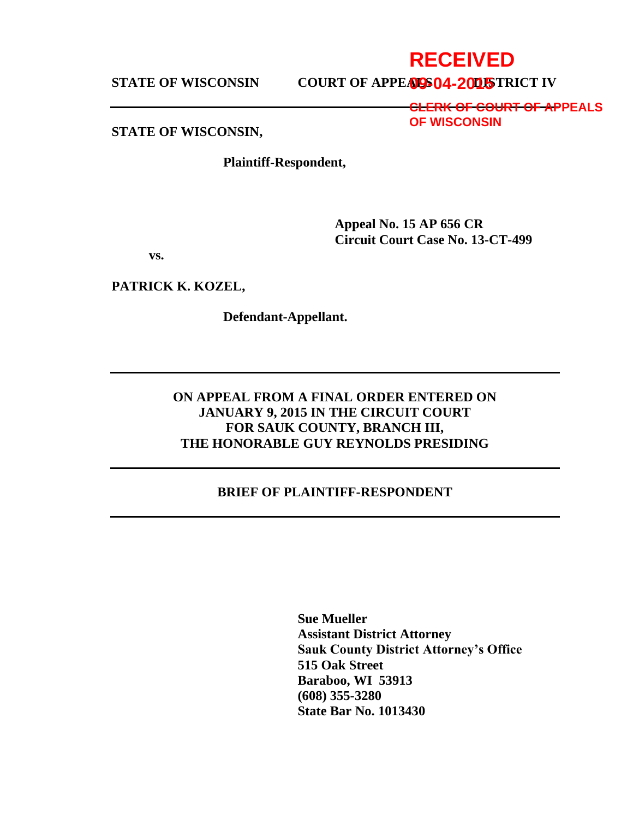# **STATE OF WISCONSIN COURT OF APPEALS 04-2015 TRICT IV**

**RECEIVED**

**CLERK OF COURT OF APPEALS OF WISCONSIN**

#### **STATE OF WISCONSIN,**

**Plaintiff-Respondent,**

**Appeal No. 15 AP 656 CR Circuit Court Case No. 13-CT-499**

**vs.**

**PATRICK K. KOZEL,**

**Defendant-Appellant.**

## **ON APPEAL FROM A FINAL ORDER ENTERED ON JANUARY 9, 2015 IN THE CIRCUIT COURT FOR SAUK COUNTY, BRANCH III, THE HONORABLE GUY REYNOLDS PRESIDING**

#### **BRIEF OF PLAINTIFF-RESPONDENT**

**Sue Mueller Assistant District Attorney Sauk County District Attorney's Office 515 Oak Street Baraboo, WI 53913 (608) 355-3280 State Bar No. 1013430**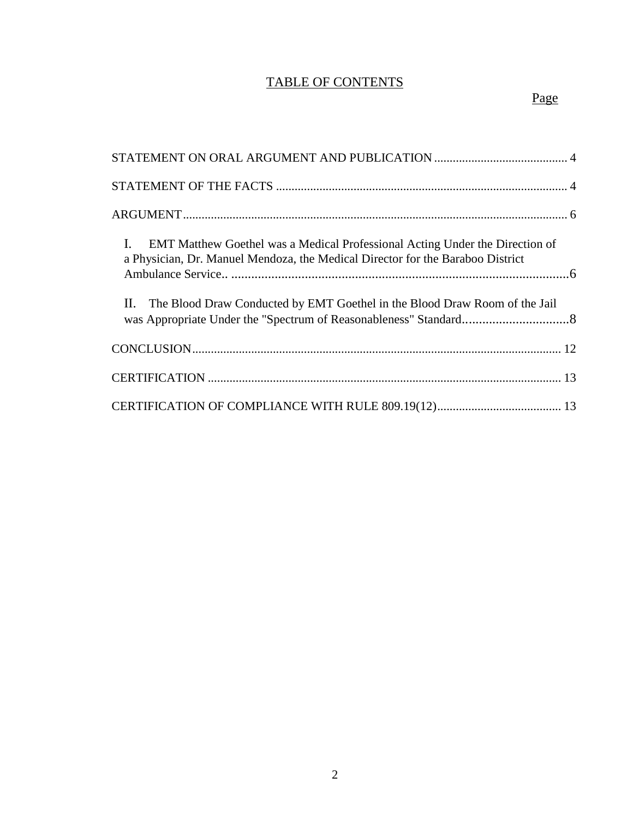# TABLE OF CONTENTS

| $\mathbf{I}$ .<br><b>EMT Matthew Goethel was a Medical Professional Acting Under the Direction of</b><br>a Physician, Dr. Manuel Mendoza, the Medical Director for the Baraboo District |  |
|-----------------------------------------------------------------------------------------------------------------------------------------------------------------------------------------|--|
| II. The Blood Draw Conducted by EMT Goethel in the Blood Draw Room of the Jail                                                                                                          |  |
|                                                                                                                                                                                         |  |
|                                                                                                                                                                                         |  |
|                                                                                                                                                                                         |  |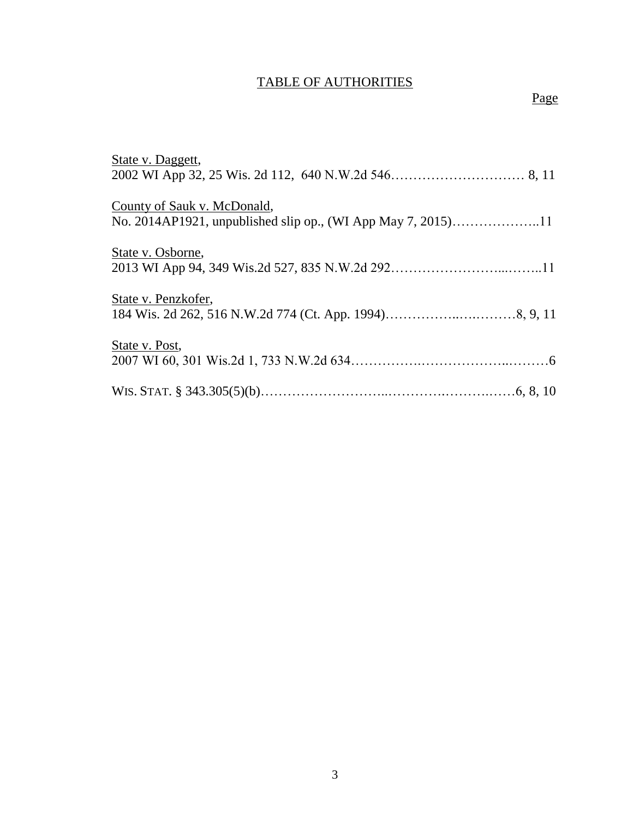# TABLE OF AUTHORITIES

| State v. Daggett,           |
|-----------------------------|
|                             |
| County of Sauk v. McDonald, |
|                             |
| State v. Osborne,           |
|                             |
| State v. Penzkofer,         |
|                             |
| State v. Post,              |
|                             |
|                             |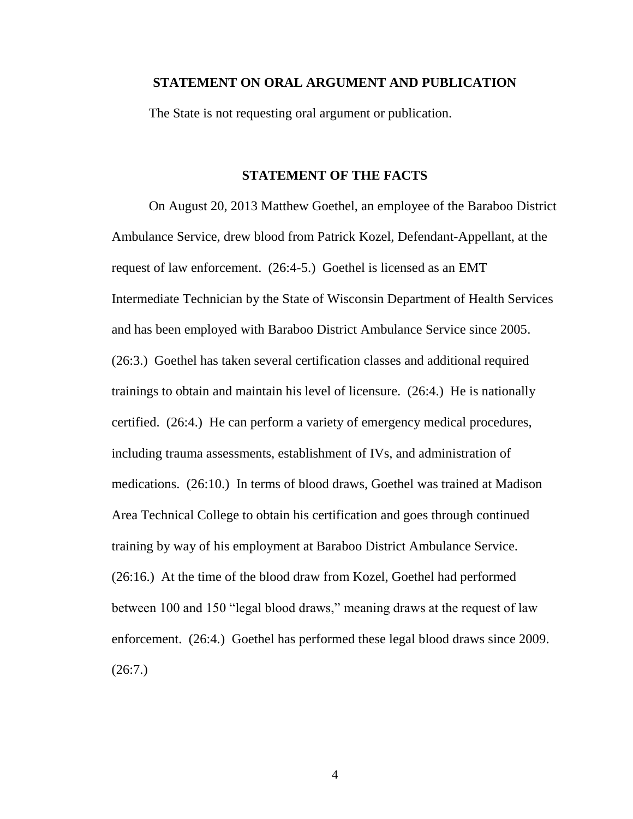#### **STATEMENT ON ORAL ARGUMENT AND PUBLICATION**

The State is not requesting oral argument or publication.

#### **STATEMENT OF THE FACTS**

On August 20, 2013 Matthew Goethel, an employee of the Baraboo District Ambulance Service, drew blood from Patrick Kozel, Defendant-Appellant, at the request of law enforcement. (26:4-5.) Goethel is licensed as an EMT Intermediate Technician by the State of Wisconsin Department of Health Services and has been employed with Baraboo District Ambulance Service since 2005. (26:3.) Goethel has taken several certification classes and additional required trainings to obtain and maintain his level of licensure. (26:4.) He is nationally certified. (26:4.) He can perform a variety of emergency medical procedures, including trauma assessments, establishment of IVs, and administration of medications. (26:10.) In terms of blood draws, Goethel was trained at Madison Area Technical College to obtain his certification and goes through continued training by way of his employment at Baraboo District Ambulance Service. (26:16.) At the time of the blood draw from Kozel, Goethel had performed between 100 and 150 "legal blood draws," meaning draws at the request of law enforcement. (26:4.) Goethel has performed these legal blood draws since 2009.  $(26:7.)$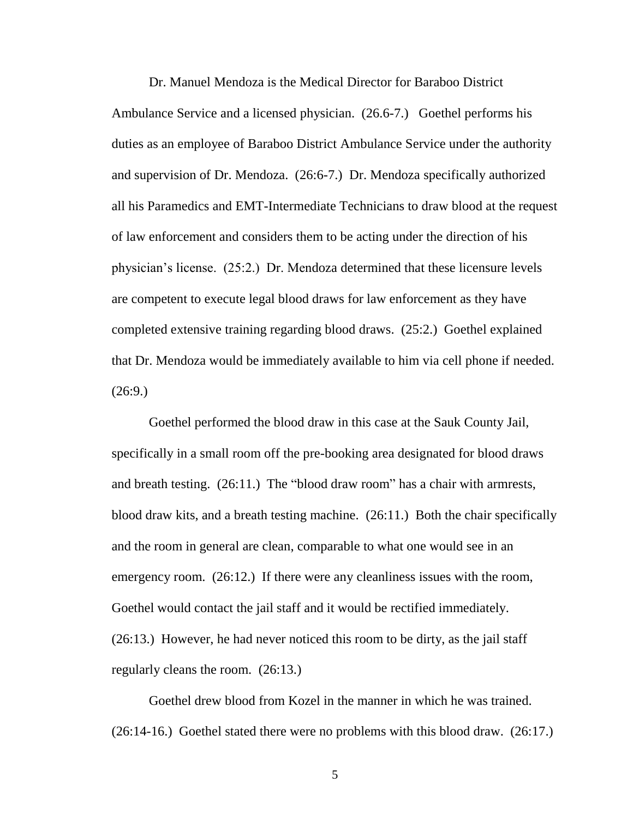Dr. Manuel Mendoza is the Medical Director for Baraboo District Ambulance Service and a licensed physician. (26.6-7.) Goethel performs his duties as an employee of Baraboo District Ambulance Service under the authority and supervision of Dr. Mendoza. (26:6-7.) Dr. Mendoza specifically authorized all his Paramedics and EMT-Intermediate Technicians to draw blood at the request of law enforcement and considers them to be acting under the direction of his physician's license. (25:2.) Dr. Mendoza determined that these licensure levels are competent to execute legal blood draws for law enforcement as they have completed extensive training regarding blood draws. (25:2.) Goethel explained that Dr. Mendoza would be immediately available to him via cell phone if needed.  $(26:9)$ 

Goethel performed the blood draw in this case at the Sauk County Jail, specifically in a small room off the pre-booking area designated for blood draws and breath testing. (26:11.) The "blood draw room" has a chair with armrests, blood draw kits, and a breath testing machine. (26:11.) Both the chair specifically and the room in general are clean, comparable to what one would see in an emergency room. (26:12.) If there were any cleanliness issues with the room, Goethel would contact the jail staff and it would be rectified immediately. (26:13.) However, he had never noticed this room to be dirty, as the jail staff regularly cleans the room. (26:13.)

Goethel drew blood from Kozel in the manner in which he was trained. (26:14-16.) Goethel stated there were no problems with this blood draw. (26:17.)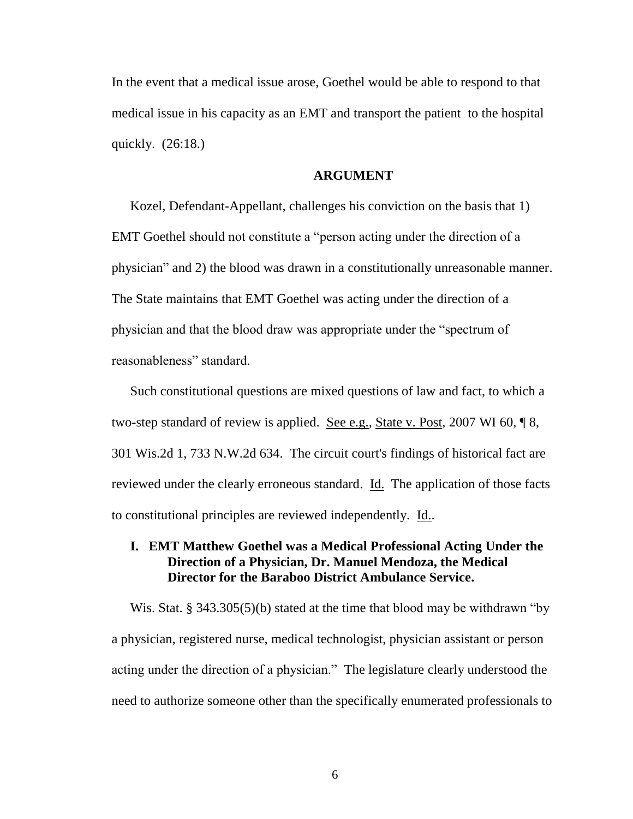In the event that a medical issue arose, Goethel would be able to respond to that medical issue in his capacity as an EMT and transport the patient to the hospital quickly. (26:18.)

#### **ARGUMENT**

Kozel, Defendant-Appellant, challenges his conviction on the basis that 1) EMT Goethel should not constitute a "person acting under the direction of a physician" and 2) the blood was drawn in a constitutionally unreasonable manner. The State maintains that EMT Goethel was acting under the direction of a physician and that the blood draw was appropriate under the "spectrum of reasonableness" standard.

Such constitutional questions are mixed questions of law and fact, to which a two-step standard of review is applied. See e.g., State v. Post, 2007 WI 60, ¶ 8, 301 Wis.2d 1, 733 N.W.2d 634. The circuit court's findings of historical fact are reviewed under the clearly erroneous standard. Id. The application of those facts to constitutional principles are reviewed independently. Id..

## **I. EMT Matthew Goethel was a Medical Professional Acting Under the Direction of a Physician, Dr. Manuel Mendoza, the Medical Director for the Baraboo District Ambulance Service.**

Wis. Stat. § 343.305(5)(b) stated at the time that blood may be withdrawn "by a physician, registered nurse, medical technologist, physician assistant or person acting under the direction of a physician." The legislature clearly understood the need to authorize someone other than the specifically enumerated professionals to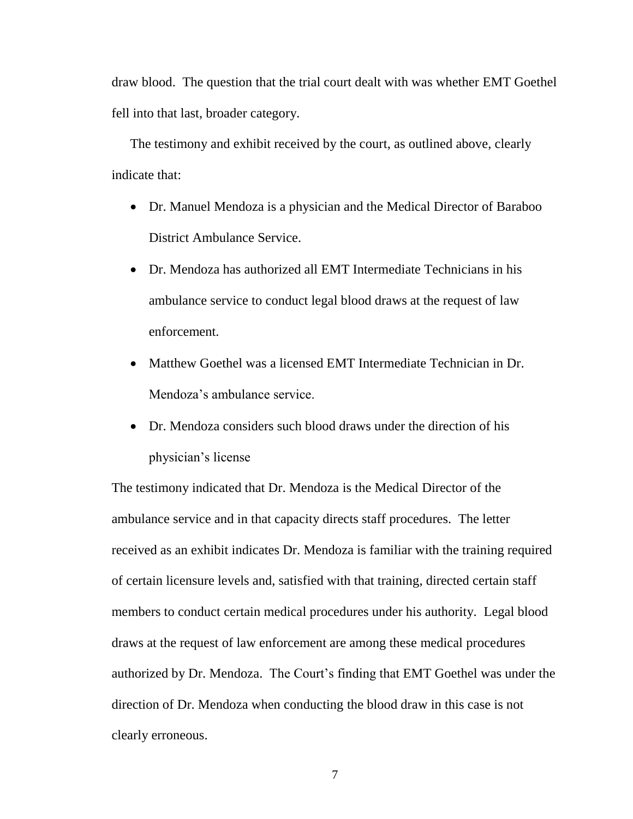draw blood. The question that the trial court dealt with was whether EMT Goethel fell into that last, broader category.

The testimony and exhibit received by the court, as outlined above, clearly indicate that:

- Dr. Manuel Mendoza is a physician and the Medical Director of Baraboo District Ambulance Service.
- Dr. Mendoza has authorized all EMT Intermediate Technicians in his ambulance service to conduct legal blood draws at the request of law enforcement.
- Matthew Goethel was a licensed EMT Intermediate Technician in Dr. Mendoza's ambulance service.
- Dr. Mendoza considers such blood draws under the direction of his physician's license

The testimony indicated that Dr. Mendoza is the Medical Director of the ambulance service and in that capacity directs staff procedures. The letter received as an exhibit indicates Dr. Mendoza is familiar with the training required of certain licensure levels and, satisfied with that training, directed certain staff members to conduct certain medical procedures under his authority. Legal blood draws at the request of law enforcement are among these medical procedures authorized by Dr. Mendoza. The Court's finding that EMT Goethel was under the direction of Dr. Mendoza when conducting the blood draw in this case is not clearly erroneous.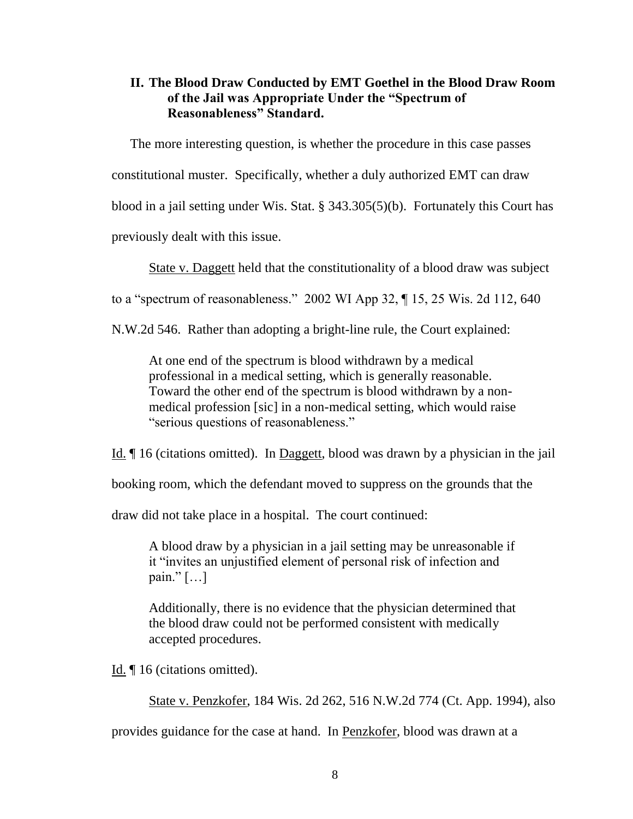### **II. The Blood Draw Conducted by EMT Goethel in the Blood Draw Room of the Jail was Appropriate Under the "Spectrum of Reasonableness" Standard.**

The more interesting question, is whether the procedure in this case passes constitutional muster. Specifically, whether a duly authorized EMT can draw blood in a jail setting under Wis. Stat. § 343.305(5)(b). Fortunately this Court has previously dealt with this issue.

State v. Daggett held that the constitutionality of a blood draw was subject

to a "spectrum of reasonableness." 2002 WI App 32, ¶ 15, 25 Wis. 2d 112, 640

N.W.2d 546. Rather than adopting a bright-line rule, the Court explained:

At one end of the spectrum is blood withdrawn by a medical professional in a medical setting, which is generally reasonable. Toward the other end of the spectrum is blood withdrawn by a nonmedical profession [sic] in a non-medical setting, which would raise "serious questions of reasonableness."

Id. ¶ 16 (citations omitted). In Daggett, blood was drawn by a physician in the jail

booking room, which the defendant moved to suppress on the grounds that the

draw did not take place in a hospital. The court continued:

A blood draw by a physician in a jail setting may be unreasonable if it "invites an unjustified element of personal risk of infection and pain."  $[\ldots]$ 

Additionally, there is no evidence that the physician determined that the blood draw could not be performed consistent with medically accepted procedures.

Id. ¶ 16 (citations omitted).

State v. Penzkofer, 184 Wis. 2d 262, 516 N.W.2d 774 (Ct. App. 1994), also

provides guidance for the case at hand. In Penzkofer, blood was drawn at a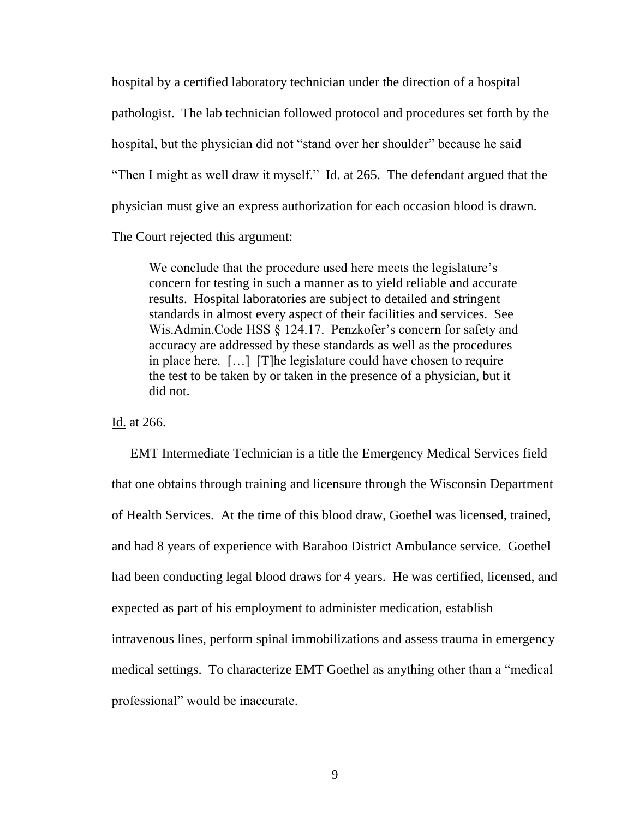hospital by a certified laboratory technician under the direction of a hospital pathologist. The lab technician followed protocol and procedures set forth by the hospital, but the physician did not "stand over her shoulder" because he said "Then I might as well draw it myself." Id. at 265. The defendant argued that the physician must give an express authorization for each occasion blood is drawn.

The Court rejected this argument:

We conclude that the procedure used here meets the legislature's concern for testing in such a manner as to yield reliable and accurate results. Hospital laboratories are subject to detailed and stringent standards in almost every aspect of their facilities and services. See Wis.Admin.Code HSS § 124.17. Penzkofer's concern for safety and accuracy are addressed by these standards as well as the procedures in place here. […] [T]he legislature could have chosen to require the test to be taken by or taken in the presence of a physician, but it did not.

Id. at 266.

EMT Intermediate Technician is a title the Emergency Medical Services field that one obtains through training and licensure through the Wisconsin Department of Health Services. At the time of this blood draw, Goethel was licensed, trained, and had 8 years of experience with Baraboo District Ambulance service. Goethel had been conducting legal blood draws for 4 years. He was certified, licensed, and expected as part of his employment to administer medication, establish intravenous lines, perform spinal immobilizations and assess trauma in emergency medical settings. To characterize EMT Goethel as anything other than a "medical professional" would be inaccurate.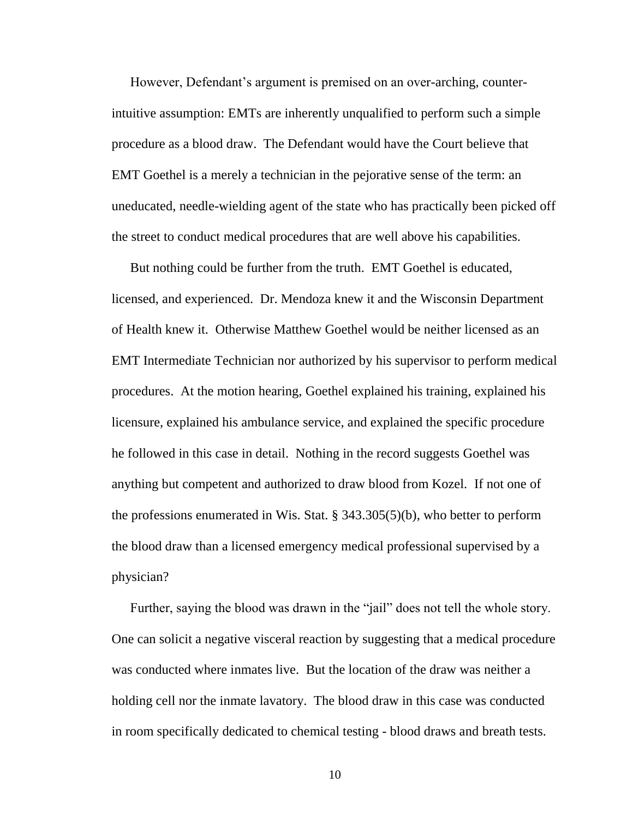However, Defendant's argument is premised on an over-arching, counterintuitive assumption: EMTs are inherently unqualified to perform such a simple procedure as a blood draw. The Defendant would have the Court believe that EMT Goethel is a merely a technician in the pejorative sense of the term: an uneducated, needle-wielding agent of the state who has practically been picked off the street to conduct medical procedures that are well above his capabilities.

But nothing could be further from the truth. EMT Goethel is educated, licensed, and experienced. Dr. Mendoza knew it and the Wisconsin Department of Health knew it. Otherwise Matthew Goethel would be neither licensed as an EMT Intermediate Technician nor authorized by his supervisor to perform medical procedures. At the motion hearing, Goethel explained his training, explained his licensure, explained his ambulance service, and explained the specific procedure he followed in this case in detail. Nothing in the record suggests Goethel was anything but competent and authorized to draw blood from Kozel. If not one of the professions enumerated in Wis. Stat. § 343.305(5)(b), who better to perform the blood draw than a licensed emergency medical professional supervised by a physician?

Further, saying the blood was drawn in the "jail" does not tell the whole story. One can solicit a negative visceral reaction by suggesting that a medical procedure was conducted where inmates live. But the location of the draw was neither a holding cell nor the inmate lavatory. The blood draw in this case was conducted in room specifically dedicated to chemical testing - blood draws and breath tests.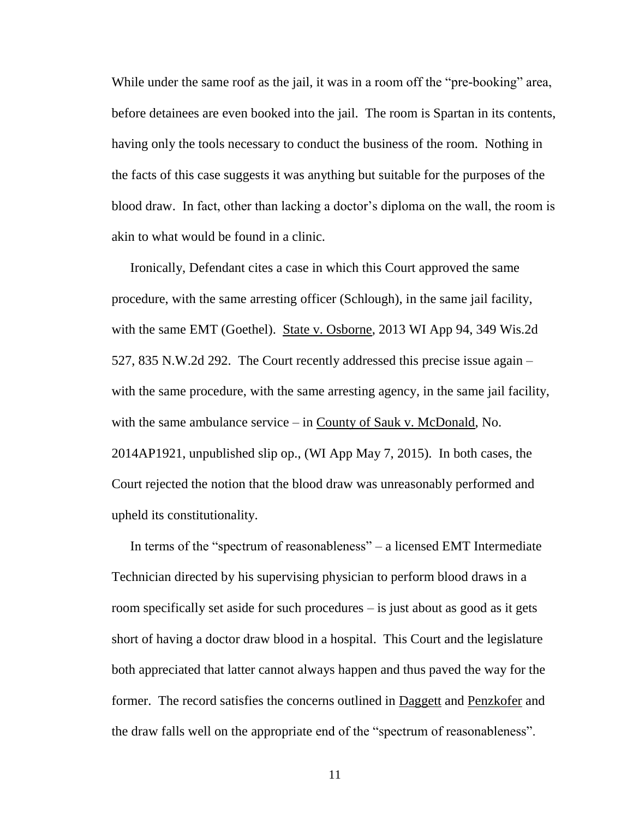While under the same roof as the jail, it was in a room off the "pre-booking" area, before detainees are even booked into the jail. The room is Spartan in its contents, having only the tools necessary to conduct the business of the room. Nothing in the facts of this case suggests it was anything but suitable for the purposes of the blood draw. In fact, other than lacking a doctor's diploma on the wall, the room is akin to what would be found in a clinic.

Ironically, Defendant cites a case in which this Court approved the same procedure, with the same arresting officer (Schlough), in the same jail facility, with the same EMT (Goethel). State v. Osborne, 2013 WI App 94, 349 Wis.2d 527, 835 N.W.2d 292. The Court recently addressed this precise issue again – with the same procedure, with the same arresting agency, in the same jail facility, with the same ambulance service – in County of Sauk v. McDonald, No. 2014AP1921, unpublished slip op., (WI App May 7, 2015). In both cases, the Court rejected the notion that the blood draw was unreasonably performed and upheld its constitutionality.

In terms of the "spectrum of reasonableness" – a licensed EMT Intermediate Technician directed by his supervising physician to perform blood draws in a room specifically set aside for such procedures – is just about as good as it gets short of having a doctor draw blood in a hospital. This Court and the legislature both appreciated that latter cannot always happen and thus paved the way for the former. The record satisfies the concerns outlined in Daggett and Penzkofer and the draw falls well on the appropriate end of the "spectrum of reasonableness".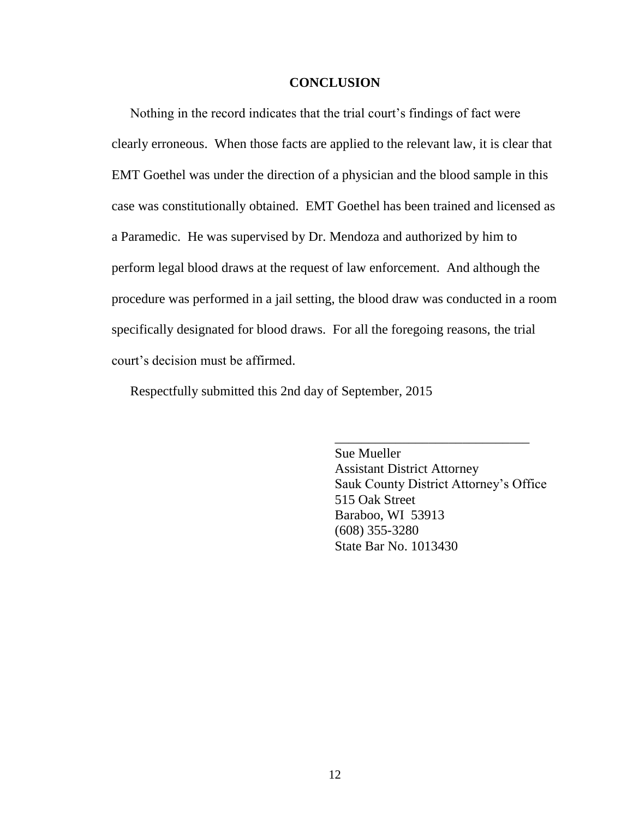#### **CONCLUSION**

Nothing in the record indicates that the trial court's findings of fact were clearly erroneous. When those facts are applied to the relevant law, it is clear that EMT Goethel was under the direction of a physician and the blood sample in this case was constitutionally obtained. EMT Goethel has been trained and licensed as a Paramedic. He was supervised by Dr. Mendoza and authorized by him to perform legal blood draws at the request of law enforcement. And although the procedure was performed in a jail setting, the blood draw was conducted in a room specifically designated for blood draws. For all the foregoing reasons, the trial court's decision must be affirmed.

Respectfully submitted this 2nd day of September, 2015

Sue Mueller Assistant District Attorney Sauk County District Attorney's Office 515 Oak Street Baraboo, WI 53913 (608) 355-3280 State Bar No. 1013430

\_\_\_\_\_\_\_\_\_\_\_\_\_\_\_\_\_\_\_\_\_\_\_\_\_\_\_\_\_